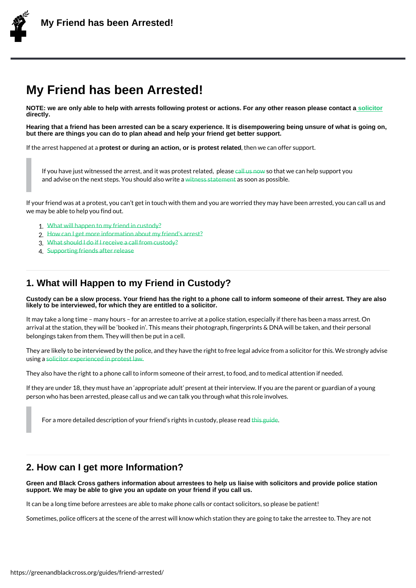# My Friend has been Arrested!

NOTE: we are only able to help with arrests following protest or actions. For any other reason please contact a solicitor directly.

Hearing that a friend has been arrested can be a scary experience. It is disempowering being unsure of what is going on, but there are things you can do to plan ahead and help your friend get better support.

If the arrest happproetenstexod duartngaan action, or is protest related , then we can offer suppo[rt.](https://netpol.org/criminal-solicitors/)

If you have just witnessed the arrest, and it was promited at revier tead, hpellepase pport you and advise on the next steps. You is besuld talsos worldte as possible.

If your friend was at a protest, you can t get i[n touch](https://greenandblackcross.org/contact/) with them and you are worried they we may be able to help you find ou[t.](https://greenandblackcross.org/guides/witness)

1.What will happen to my friend in custody? 2.How can I get more information about my friend s arrest? 3.What should I do if I receive a call from custody?

4.Supporting friends after release

### 1. W[hat will Happen to my](https://greenandblackcross.org/guides/friend-arrested/4-supporting-friends-after-release/) [Friend in C](https://greenandblackcross.org/guides/friend-arrested/3-receiving-a-custody-call/)ustody?

Custody can be a slow process. Your friend has the right to a phone call to inform someone of their arrest. They are also likely to be interviewed, for which they are entitled to a solicitor.

It may take a long time  $\,$  many hours  $\,$  for an arrestee to arrive at a police station, espec arrival at the station, they will be booked in. This means their photograph, fingerprints belongings taken from them. They will then be put in a cell.

They are likely to be interviewed by the police, and they have the right to free legal advi using calicitor experienced in protest law.

They also have the right to a phone call to inform someone of their arrest, to food, and t

If they are under 18, they must have an appropriate adult present at their interview. If pers[on who has been arres](https://greenandblackcross.org/solicitors/)ted, please call us and we can talk you through what this role

For a more detailed description of your friend shring antisiden custody, please read

## 2. How can I get more Information?

Green and Black Cross gathers information about arrestees to help us liaise with solicitors and provide police station support. We may be able to give you an update on your friend if you call us.

It can be a long time before arrestees are able to make phone calls or contact solicitors,

Sometimes, police officers at the scene of the arrest will know which station they are goi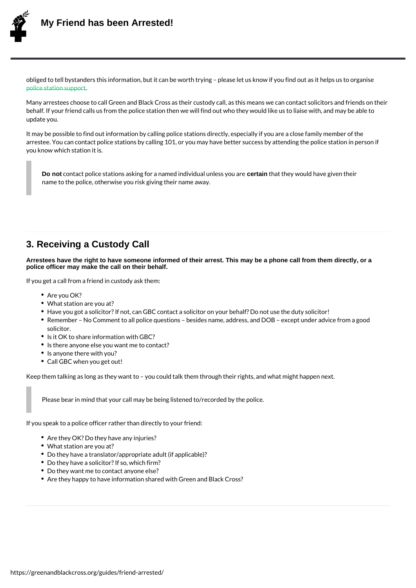obliged to tell bystanders this information, but it can be worth trying please let us know police station support

Many arrestees choose to call Green and Black Cross as their custody call, as this means behalf. If your friend calls us from the police station then we will find out who they would [update you.](https://greenandblackcross.org/guides/police-station-support/)

It may be possible to find out information by calling police stations directly, especially i arrestee. You can contact police stations by calling 101, or you may have better success you know which station it is.

Do not contact police stations asking for a nameed taim dtihvad ut ale y n we susdy baværgiven their name to the police, otherwise you risk giving their name away.

#### 3. Receiving a Custody Call

Arrestees have the right to have someone informed of their arrest. This may be a phone call from them directly, or a police officer may make the call on their behalf.

If you get a call from a friend in custody ask them:

- Are you OK?
- What station are you at?
- Have you got a solicitor? If not, can GBC contact a solicitor on your behalf? Do not
- Remember No Comment to all police questions besides name, address, and DOB solicitor.
- Is it OK to share information with GBC?
- . Is there anyone else you want me to contact?
- . Is anyone there with you?
- Call GBC when you get out!

Keep them talking as long as they want to you could talk them through their rights, and

Please bear in mind that your call may be being listened to/recorded by the police.

If you speak to a police officer rather than directly to your friend:

- Are they OK? Do they have any injuries?
- What station are you at?
- Do they have a translator/appropriate adult (if applicable)?
- Do they have a solicitor? If so, which firm?
- Do they want me to contact anyone else?
- Are they happy to have information shared with Green and Black Cross?